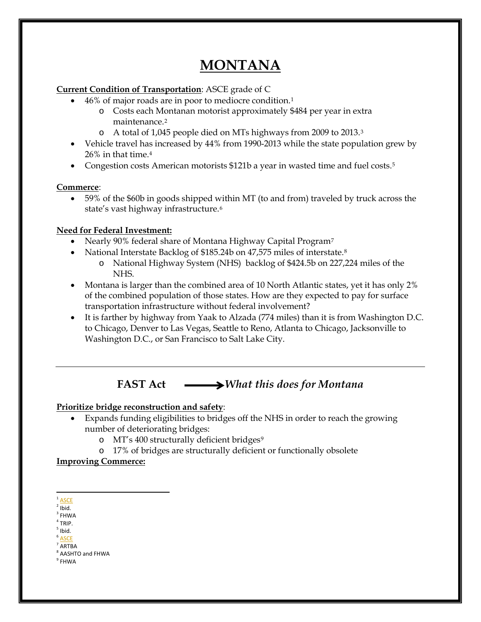# **MONTANA**

### **Current Condition of Transportation**: ASCE grade of C

- 46% of major roads are in poor to mediocre condition[.1](#page-0-0)
	- o Costs each Montanan motorist approximately \$484 per year in extra maintenance[.2](#page-0-1)
	- o A total of 1,045 people died on MTs highways from 2009 to 2013.[3](#page-0-2)
- Vehicle travel has increased by 44% from 1990-2013 while the state population grew by 26% in that time.[4](#page-0-3)
- Congestion costs American motorists \$121b a year in wasted time and fuel costs.<sup>5</sup>

### **Commerce**:

• 59% of the \$60b in goods shipped within MT (to and from) traveled by truck across the state's vast highway infrastructure.[6](#page-0-5)

# **Need for Federal Investment:**

- Nearly 90% federal share of Montana Highway Capital Program<sup>[7](#page-0-6)</sup>
- National Interstate Backlog of \$1[8](#page-0-7)5.24b on 47,575 miles of interstate.<sup>8</sup>
	- o National Highway System (NHS) backlog of \$424.5b on 227,224 miles of the NHS.
- Montana is larger than the combined area of 10 North Atlantic states, yet it has only 2% of the combined population of those states. How are they expected to pay for surface transportation infrastructure without federal involvement?
- It is farther by highway from Yaak to Alzada (774 miles) than it is from Washington D.C. to Chicago, Denver to Las Vegas, Seattle to Reno, Atlanta to Chicago, Jacksonville to Washington D.C., or San Francisco to Salt Lake City.

# **FAST** Act  $\longrightarrow$  *What this does for Montana*

#### **Prioritize bridge reconstruction and safety**:

- Expands funding eligibilities to bridges off the NHS in order to reach the growing number of deteriorating bridges:
	- o MT's 400 structurally deficient bridges<sup>[9](#page-0-8)</sup>
	- o 17% of bridges are structurally deficient or functionally obsolete

# **Improving Commerce:**

- $3$  FHWA
- <span id="page-0-3"></span><span id="page-0-2"></span> $4$  TRIP.  $<sup>5</sup>$  Ibid.</sup>
- <span id="page-0-4"></span>**[ASCE](http://www.infrastructurereportcard.org/wp-content/uploads/2014/11/2014-Report-Card-for-Montanas-Infrastructure.pdf)**
- <span id="page-0-6"></span><span id="page-0-5"></span><sup>7</sup> ARTBA

<span id="page-0-8"></span><span id="page-0-7"></span> $9$  FHWA

<span id="page-0-0"></span> $1$  [ASCE](http://www.infrastructurereportcard.org/wp-content/uploads/2014/11/2014-Report-Card-for-Montanas-Infrastructure.pdf)

<span id="page-0-1"></span> $2$  Ibid.

<sup>8</sup> AASHTO and FHWA